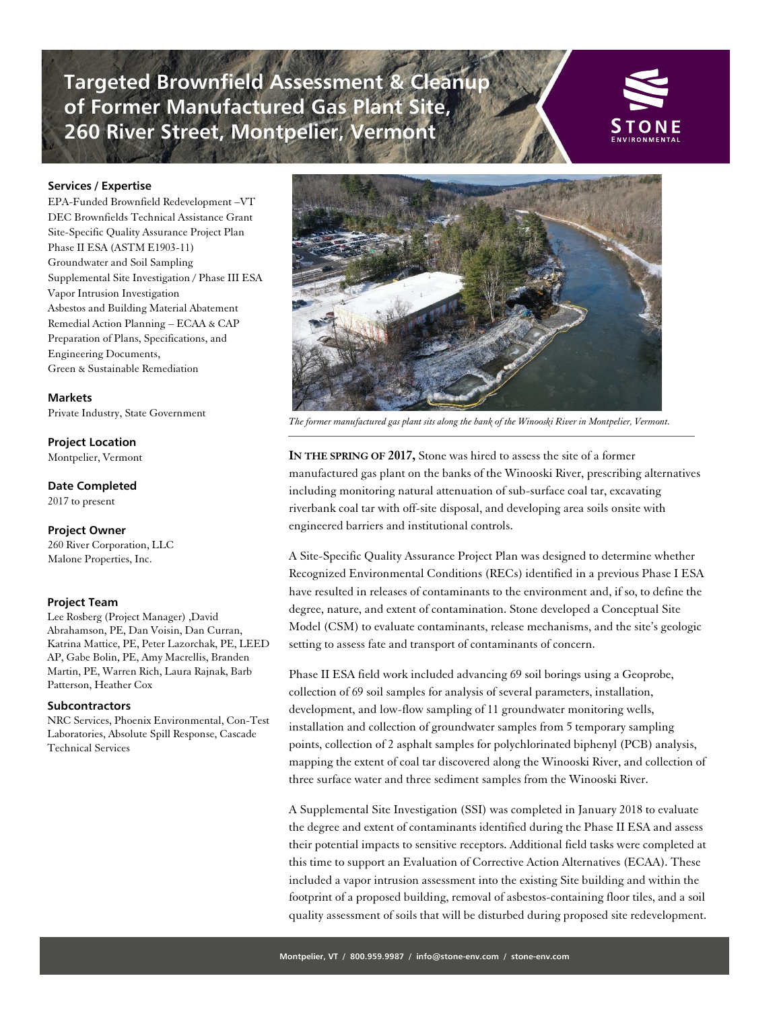**Targeted Brownfield Assessment & Cleanup of Former Manufactured Gas Plant Site, 260 River Street, Montpelier, Vermont**



## **Services / Expertise**

EPA-Funded Brownfield Redevelopment –VT DEC Brownfields Technical Assistance Grant Site-Specific Quality Assurance Project Plan Phase II ESA (ASTM E1903-11) Groundwater and Soil Sampling Supplemental Site Investigation / Phase III ESA Vapor Intrusion Investigation Asbestos and Building Material Abatement Remedial Action Planning – ECAA & CAP Preparation of Plans, Specifications, and Engineering Documents, Green & Sustainable Remediation

**Markets**  Private Industry, State Government

**Project Location**  Montpelier, Vermont

**Date Completed** 

2017 to present

#### **Project Owner**

260 River Corporation, LLC Malone Properties, Inc.

### **Project Team**

Lee Rosberg (Project Manager) ,David [Abrahamson, PE,](mailto:pat@malone-properties.com) Dan Voisin, Dan Curran, Katrina Mattice, PE, Peter Lazorchak, PE, LEED AP, Gabe Bolin, PE, Amy Macrellis, Branden Martin, PE, Warren Rich, Laura Rajnak, Barb Patterson, Heather Cox

## **[Subcontractors](mailto:mark@dickinsondev.com)**

NRC Services, Phoenix Environmental, Con-Test Laboratories, Absolute Spill Response, Cascade Technical Services



*The former manufactured gas plant sits along the bank of the Winooski River in Montpelier, Vermont.*

**IN THE SPRING OF 2017,** Stone was hired to assess the site of a former manufactured gas plant on the banks of the Winooski River, prescribing alternatives including monitoring natural attenuation of sub-surface coal tar, excavating riverbank coal tar with off-site disposal, and developing area soils onsite with engineered barriers and institutional controls.

A Site-Specific Quality Assurance Project Plan was designed to determine whether Recognized Environmental Conditions (RECs) identified in a previous Phase I ESA have resulted in releases of contaminants to the environment and, if so, to define the degree, nature, and extent of contamination. Stone developed a Conceptual Site Model (CSM) to evaluate contaminants, release mechanisms, and the site's geologic setting to assess fate and transport of contaminants of concern.

Phase II ESA field work included advancing 69 soil borings using a Geoprobe, collection of 69 soil samples for analysis of several parameters, installation, development, and low-flow sampling of 11 groundwater monitoring wells, installation and collection of groundwater samples from 5 temporary sampling points, collection of 2 asphalt samples for polychlorinated biphenyl (PCB) analysis, mapping the extent of coal tar discovered along the Winooski River, and collection of three surface water and three sediment samples from the Winooski River.

A Supplemental Site Investigation (SSI) was completed in January 2018 to evaluate the degree and extent of contaminants identified during the Phase II ESA and assess their potential impacts to sensitive receptors. Additional field tasks were completed at this time to support an Evaluation of Corrective Action Alternatives (ECAA). These included a vapor intrusion assessment into the existing Site building and within the footprint of a proposed building, removal of asbestos-containing floor tiles, and a soil quality assessment of soils that will be disturbed during proposed site redevelopment.